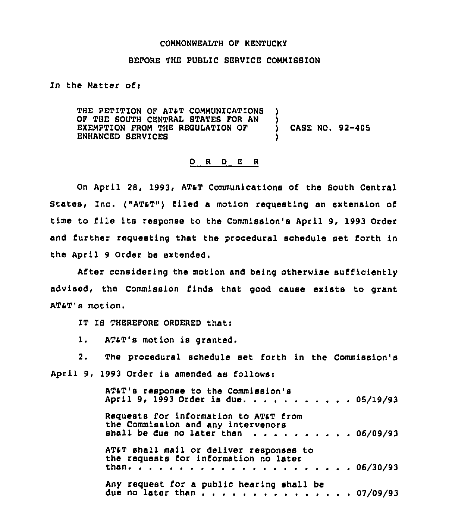## COMMONWEALTH OP KENTUCKY

## BEFORE THE PUBLIC SERVICE COMMISSION

In the Matter of:

THE PETITION OF AT&T COMMUNICATIONS OF THE SOUTH CENTRAL STATES FOR AN EXEMPTION FROM THE REGULATION OF  $\qquad$  CASE NO. 92-405 ENHANCED SERVICES )

## 0 <sup>R</sup> <sup>D</sup> E R

On April 28, 1993, AT&T Communications of the South Central States, Inc. ("AT&T") filed a motion requesting an extension of time to file its response to the Commission's April 9, 1993 Order and further requesting that the procedural schedule set forth in the April 9 Order be extended.

After considering the motion and being otherwise sufficiently advised, the Commission finds that good cause exists to grant ATsT's motion.

IT IS THEREFORE ORDERED that:

l. ATaT's motion is granted.

2. The procedural schedule set forth in the Commission's April 9, 1993 Order is amended as follows:

| AT&T's response to the Commission's<br>April 9, 1993 Order is due 05/19/93                                         |  |
|--------------------------------------------------------------------------------------------------------------------|--|
| Requests for information to AT&T from<br>the Commission and any intervenors<br>shall be due no later than 06/09/93 |  |
| AT&T shall mail or deliver responses to<br>the requests for information no later                                   |  |
| Any request for a public hearing shall be<br>due no later than $\frac{1}{2}$ 07/09/93                              |  |